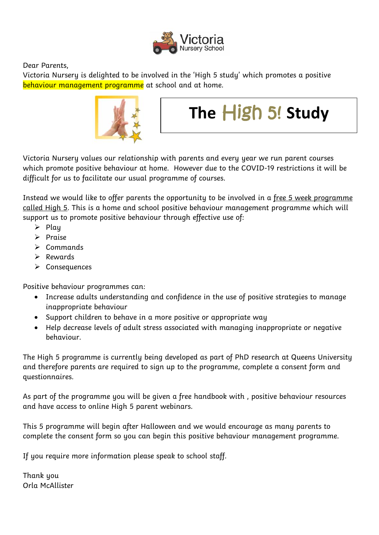

Dear Parents,

Victoria Nursery is delighted to be involved in the 'High 5 study' which promotes a positive behaviour management programme at school and at home.



## **The** High 5! **Study**

Victoria Nursery values our relationship with parents and every year we run parent courses which promote positive behaviour at home. However due to the COVID-19 restrictions it will be difficult for us to facilitate our usual programme of courses.

Instead we would like to offer parents the opportunity to be involved in a free 5 week programme called High 5. This is a home and school positive behaviour management programme which will support us to promote positive behaviour through effective use of:

- $\triangleright$  Play
- $\triangleright$  Praise
- $\triangleright$  Commands
- $\triangleright$  Rewards
- $\triangleright$  Consequences

Positive behaviour programmes can:

- Increase adults understanding and confidence in the use of positive strategies to manage inappropriate behaviour
- Support children to behave in a more positive or appropriate way
- Help decrease levels of adult stress associated with managing inappropriate or negative behaviour.

The High 5 programme is currently being developed as part of PhD research at Queens University and therefore parents are required to sign up to the programme, complete a consent form and questionnaires.

As part of the programme you will be given a free handbook with , positive behaviour resources and have access to online High 5 parent webinars.

This 5 programme will begin after Halloween and we would encourage as many parents to complete the consent form so you can begin this positive behaviour management programme.

If you require more information please speak to school staff.

Thank you Orla McAllister